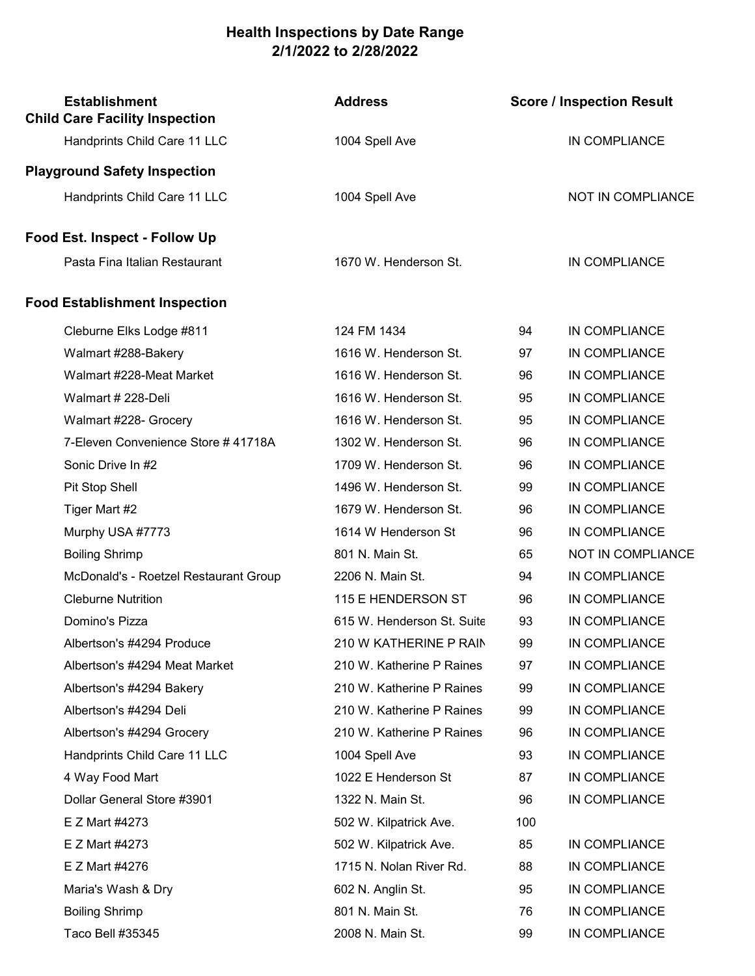## Health Inspections by Date Range 2/1/2022 to 2/28/2022

| <b>Establishment</b><br><b>Child Care Facility Inspection</b> | <b>Address</b>             |     | <b>Score / Inspection Result</b> |
|---------------------------------------------------------------|----------------------------|-----|----------------------------------|
| Handprints Child Care 11 LLC                                  | 1004 Spell Ave             |     | IN COMPLIANCE                    |
| <b>Playground Safety Inspection</b>                           |                            |     |                                  |
| Handprints Child Care 11 LLC                                  | 1004 Spell Ave             |     | NOT IN COMPLIANCE                |
| <b>Food Est. Inspect - Follow Up</b>                          |                            |     |                                  |
| Pasta Fina Italian Restaurant                                 | 1670 W. Henderson St.      |     | IN COMPLIANCE                    |
| <b>Food Establishment Inspection</b>                          |                            |     |                                  |
| Cleburne Elks Lodge #811                                      | 124 FM 1434                | 94  | IN COMPLIANCE                    |
| Walmart #288-Bakery                                           | 1616 W. Henderson St.      | 97  | IN COMPLIANCE                    |
| Walmart #228-Meat Market                                      | 1616 W. Henderson St.      | 96  | IN COMPLIANCE                    |
| Walmart # 228-Deli                                            | 1616 W. Henderson St.      | 95  | IN COMPLIANCE                    |
| Walmart #228- Grocery                                         | 1616 W. Henderson St.      | 95  | IN COMPLIANCE                    |
| 7-Eleven Convenience Store # 41718A                           | 1302 W. Henderson St.      | 96  | IN COMPLIANCE                    |
| Sonic Drive In #2                                             | 1709 W. Henderson St.      | 96  | IN COMPLIANCE                    |
| Pit Stop Shell                                                | 1496 W. Henderson St.      | 99  | IN COMPLIANCE                    |
| Tiger Mart #2                                                 | 1679 W. Henderson St.      | 96  | IN COMPLIANCE                    |
| Murphy USA #7773                                              | 1614 W Henderson St        | 96  | IN COMPLIANCE                    |
| <b>Boiling Shrimp</b>                                         | 801 N. Main St.            | 65  | NOT IN COMPLIANCE                |
| McDonald's - Roetzel Restaurant Group                         | 2206 N. Main St.           | 94  | IN COMPLIANCE                    |
| <b>Cleburne Nutrition</b>                                     | 115 E HENDERSON ST         | 96  | IN COMPLIANCE                    |
| Domino's Pizza                                                | 615 W. Henderson St. Suite | 93  | IN COMPLIANCE                    |
| Albertson's #4294 Produce                                     | 210 W KATHERINE P RAIN     | 99  | IN COMPLIANCE                    |
| Albertson's #4294 Meat Market                                 | 210 W. Katherine P Raines  | 97  | IN COMPLIANCE                    |
| Albertson's #4294 Bakery                                      | 210 W. Katherine P Raines  | 99  | IN COMPLIANCE                    |
| Albertson's #4294 Deli                                        | 210 W. Katherine P Raines  | 99  | IN COMPLIANCE                    |
| Albertson's #4294 Grocery                                     | 210 W. Katherine P Raines  | 96  | IN COMPLIANCE                    |
| Handprints Child Care 11 LLC                                  | 1004 Spell Ave             | 93  | IN COMPLIANCE                    |
| 4 Way Food Mart                                               | 1022 E Henderson St        | 87  | IN COMPLIANCE                    |
| Dollar General Store #3901                                    | 1322 N. Main St.           | 96  | IN COMPLIANCE                    |
| E Z Mart #4273                                                | 502 W. Kilpatrick Ave.     | 100 |                                  |
| E Z Mart #4273                                                | 502 W. Kilpatrick Ave.     | 85  | IN COMPLIANCE                    |
| E Z Mart #4276                                                | 1715 N. Nolan River Rd.    | 88  | IN COMPLIANCE                    |
| Maria's Wash & Dry                                            | 602 N. Anglin St.          | 95  | IN COMPLIANCE                    |
| <b>Boiling Shrimp</b>                                         | 801 N. Main St.            | 76  | IN COMPLIANCE                    |
| Taco Bell #35345                                              | 2008 N. Main St.           | 99  | IN COMPLIANCE                    |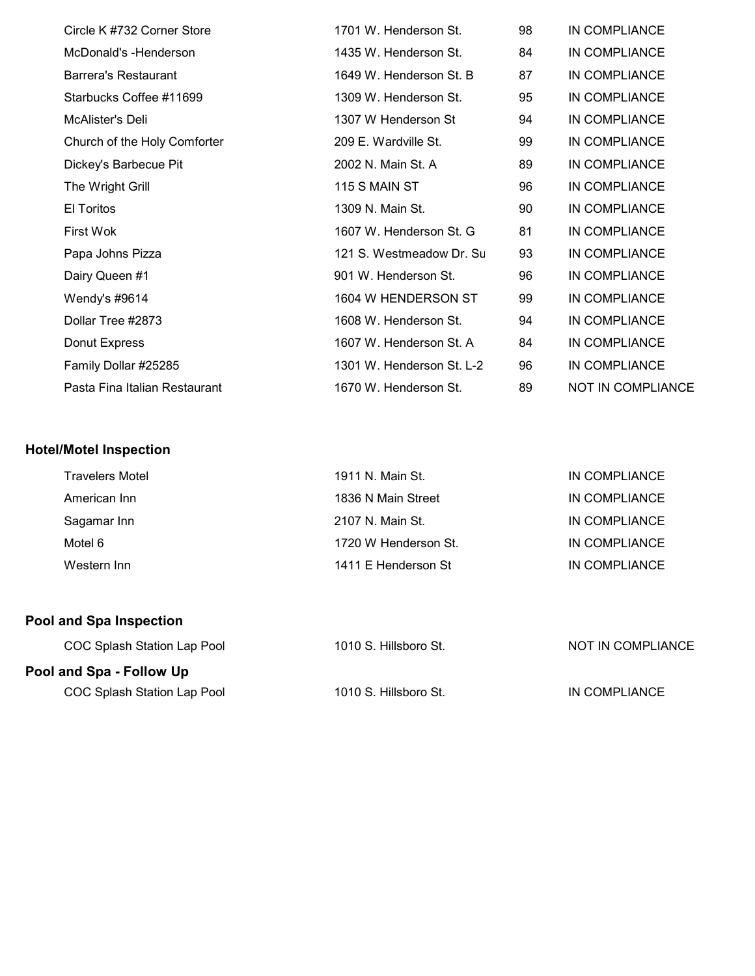| Circle K #732 Corner Store    | 1701 W. Henderson St.     | 98 | IN COMPLIANCE            |
|-------------------------------|---------------------------|----|--------------------------|
| McDonald's -Henderson         | 1435 W. Henderson St.     | 84 | IN COMPLIANCE            |
| <b>Barrera's Restaurant</b>   | 1649 W. Henderson St. B   | 87 | IN COMPLIANCE            |
| Starbucks Coffee #11699       | 1309 W. Henderson St.     | 95 | IN COMPLIANCE            |
| McAlister's Deli              | 1307 W Henderson St       | 94 | IN COMPLIANCE            |
| Church of the Holy Comforter  | 209 E. Wardville St.      | 99 | IN COMPLIANCE            |
| Dickey's Barbecue Pit         | 2002 N. Main St. A        | 89 | IN COMPLIANCE            |
| The Wright Grill              | 115 S MAIN ST             | 96 | IN COMPLIANCE            |
| El Toritos                    | 1309 N. Main St.          | 90 | IN COMPLIANCE            |
| First Wok                     | 1607 W. Henderson St. G   | 81 | IN COMPLIANCE            |
| Papa Johns Pizza              | 121 S. Westmeadow Dr. Su  | 93 | IN COMPLIANCE            |
| Dairy Queen #1                | 901 W. Henderson St.      | 96 | IN COMPLIANCE            |
| Wendy's #9614                 | 1604 W HENDERSON ST       | 99 | IN COMPLIANCE            |
| Dollar Tree #2873             | 1608 W. Henderson St.     | 94 | IN COMPLIANCE            |
| Donut Express                 | 1607 W. Henderson St. A   | 84 | IN COMPLIANCE            |
| Family Dollar #25285          | 1301 W. Henderson St. L-2 | 96 | IN COMPLIANCE            |
| Pasta Fina Italian Restaurant | 1670 W. Henderson St.     | 89 | <b>NOT IN COMPLIANCE</b> |

## Hotel/Motel Inspection

| Travelers Motel | 1911 N. Main St.     | IN COMPLIANCE |
|-----------------|----------------------|---------------|
| American Inn    | 1836 N Main Street   | IN COMPLIANCE |
| Sagamar Inn     | 2107 N. Main St.     | IN COMPLIANCE |
| Motel 6         | 1720 W Henderson St. | IN COMPLIANCE |
| Western Inn     | 1411 E Henderson St  | IN COMPLIANCE |
|                 |                      |               |

## Pool and Spa Inspection

| COC Splash Station Lap Pool | 1010 S. Hillsboro St. | NOT IN COMPLIANCE |
|-----------------------------|-----------------------|-------------------|
| Pool and Spa - Follow Up    |                       |                   |

COC Splash Station Lap Pool 1010 S. Hillsboro St. IN COMPLIANCE